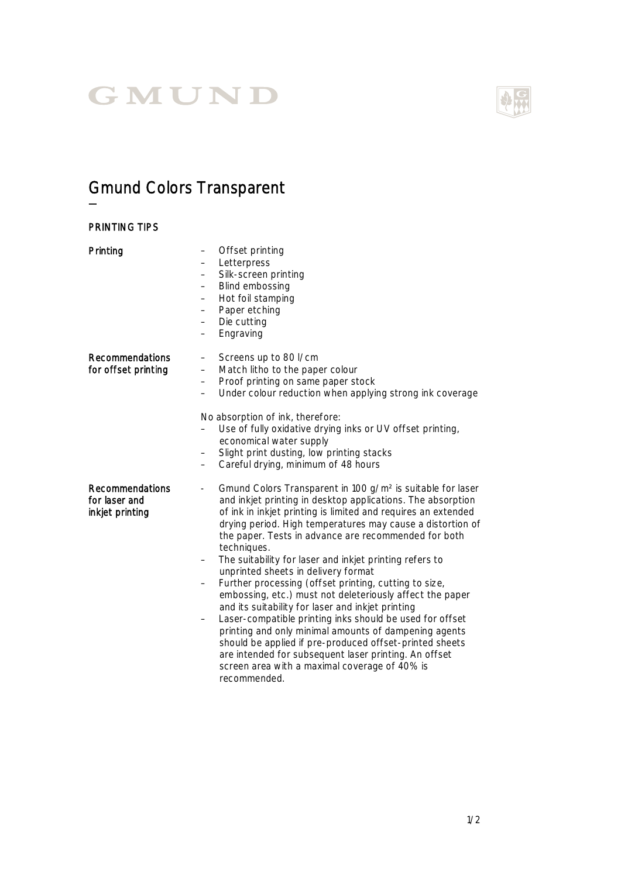## GMUND

## Gmund Colors Transparent

—

| <b>PRINTING TIPS</b>                                |                                                                                                                                                                                                                                                                                                                                                                                                                                                                                                                                                                                                                                                                                                                                                                                                                                                                                                                                                               |
|-----------------------------------------------------|---------------------------------------------------------------------------------------------------------------------------------------------------------------------------------------------------------------------------------------------------------------------------------------------------------------------------------------------------------------------------------------------------------------------------------------------------------------------------------------------------------------------------------------------------------------------------------------------------------------------------------------------------------------------------------------------------------------------------------------------------------------------------------------------------------------------------------------------------------------------------------------------------------------------------------------------------------------|
| Printing                                            | Offset printing<br>$\qquad \qquad -$<br>Letterpress<br>$\overline{\phantom{0}}$<br>Silk-screen printing<br>Blind embossing<br>Hot foil stamping<br>$\overline{\phantom{0}}$<br>Paper etching<br>$\overline{\phantom{0}}$<br>Die cutting<br>$\qquad \qquad -$<br>Engraving<br>-                                                                                                                                                                                                                                                                                                                                                                                                                                                                                                                                                                                                                                                                                |
| <b>Recommendations</b><br>for offset printing       | Screens up to 80 l/cm<br>$\qquad \qquad -$<br>Match litho to the paper colour<br>$\overline{\phantom{0}}$<br>Proof printing on same paper stock<br>Under colour reduction when applying strong ink coverage<br>$\overline{\phantom{0}}$<br>No absorption of ink, therefore:<br>Use of fully oxidative drying inks or UV offset printing,<br>economical water supply<br>Slight print dusting, low printing stacks<br>Careful drying, minimum of 48 hours                                                                                                                                                                                                                                                                                                                                                                                                                                                                                                       |
| Recommendations<br>for laser and<br>inkjet printing | Gmund Colors Transparent in 100 g/m <sup>2</sup> is suitable for laser<br>$\overline{\phantom{a}}$<br>and inkjet printing in desktop applications. The absorption<br>of ink in inkjet printing is limited and requires an extended<br>drying period. High temperatures may cause a distortion of<br>the paper. Tests in advance are recommended for both<br>techniques.<br>The suitability for laser and inkjet printing refers to<br>unprinted sheets in delivery format<br>Further processing (offset printing, cutting to size,<br>embossing, etc.) must not deleteriously affect the paper<br>and its suitability for laser and inkjet printing<br>Laser-compatible printing inks should be used for offset<br>printing and only minimal amounts of dampening agents<br>should be applied if pre-produced offset-printed sheets<br>are intended for subsequent laser printing. An offset<br>screen area with a maximal coverage of 40% is<br>recommended. |